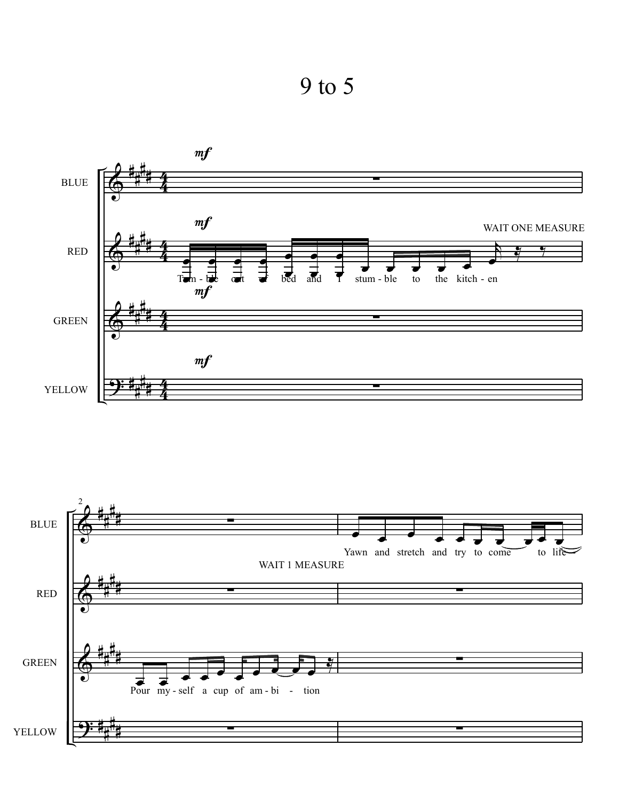



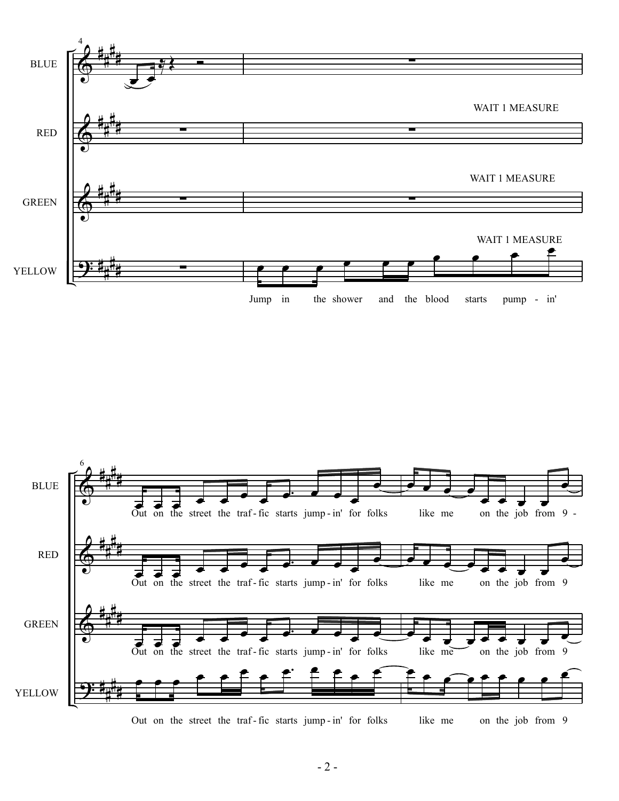

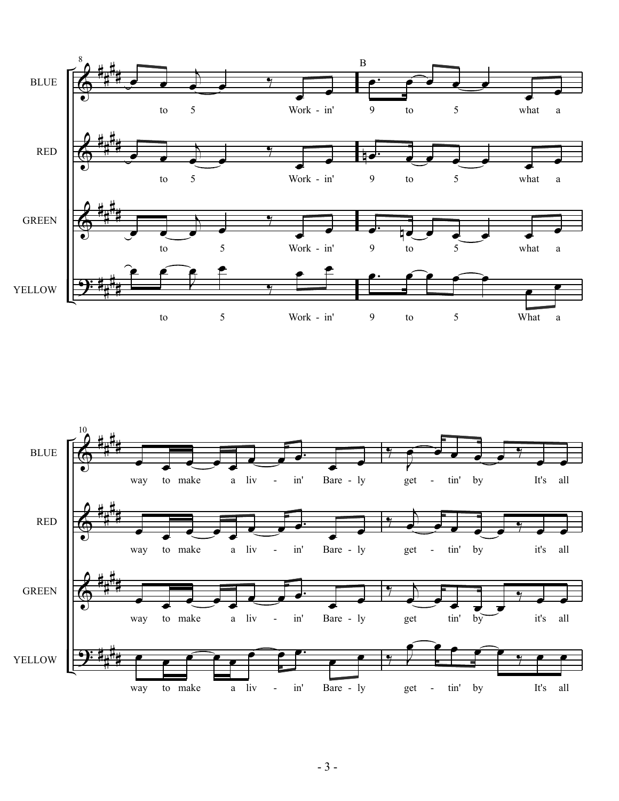

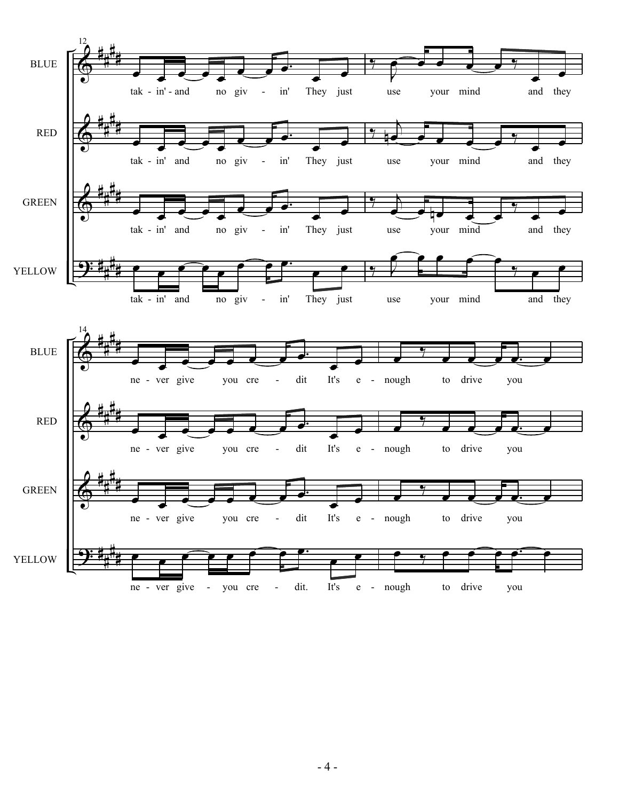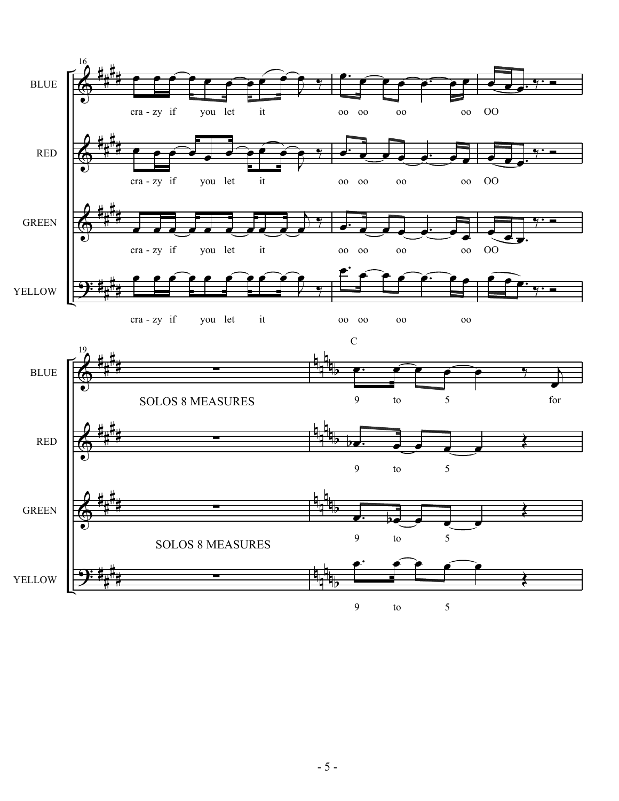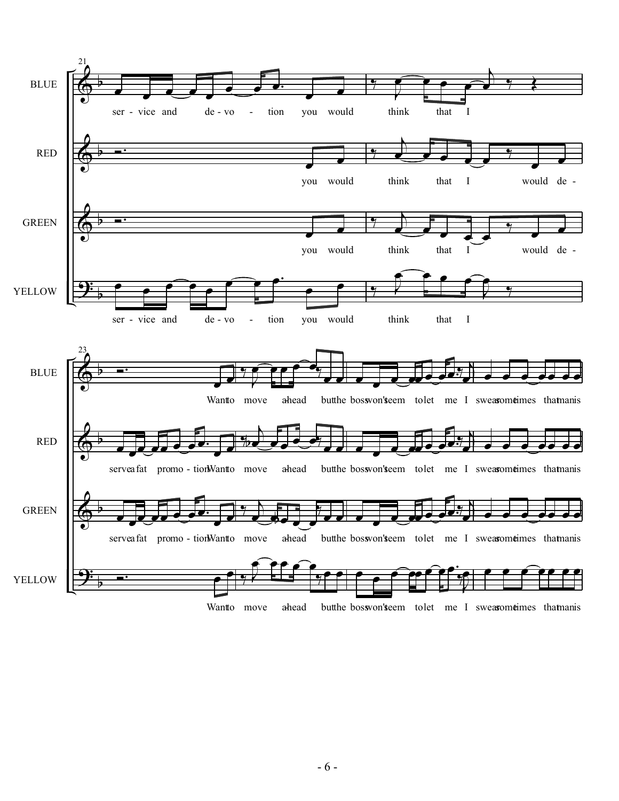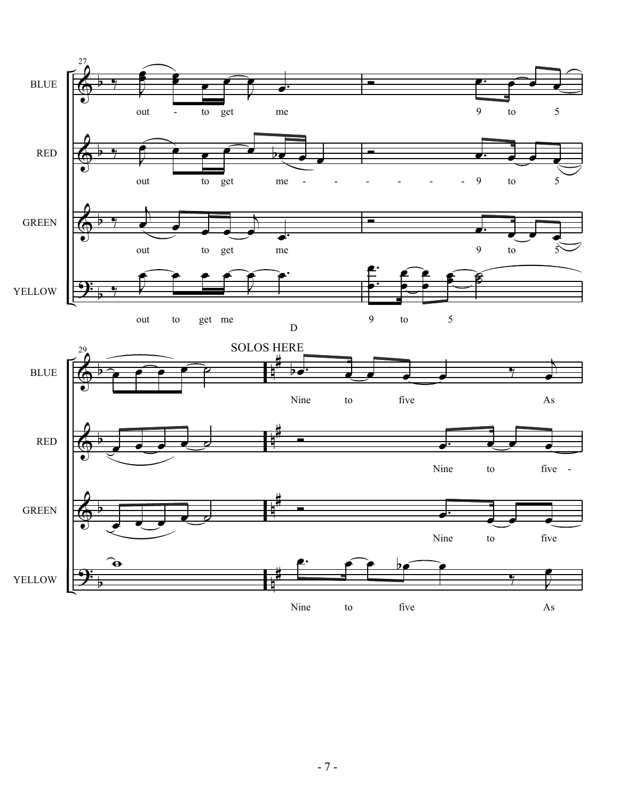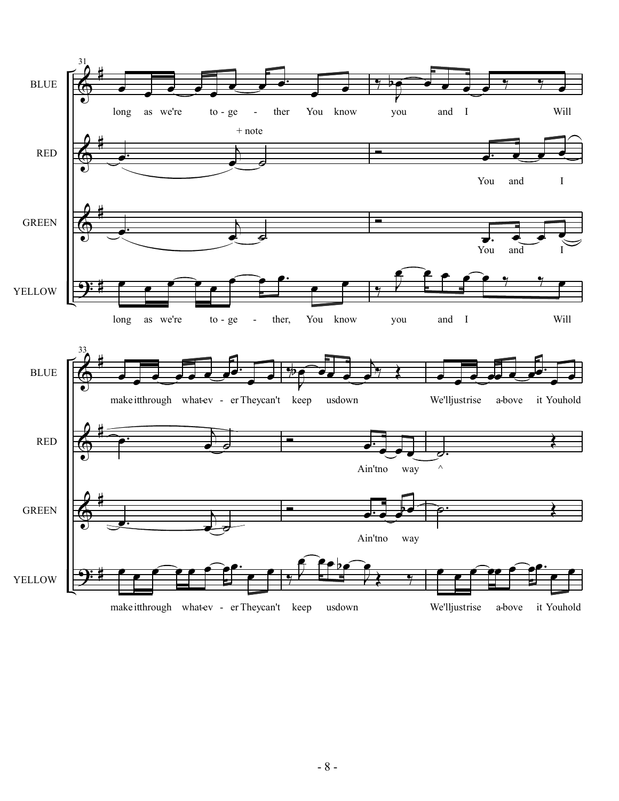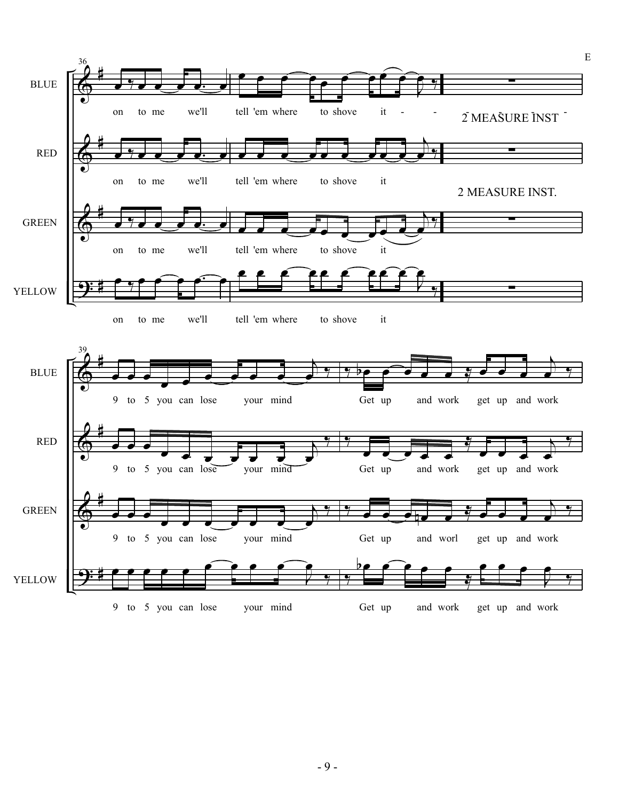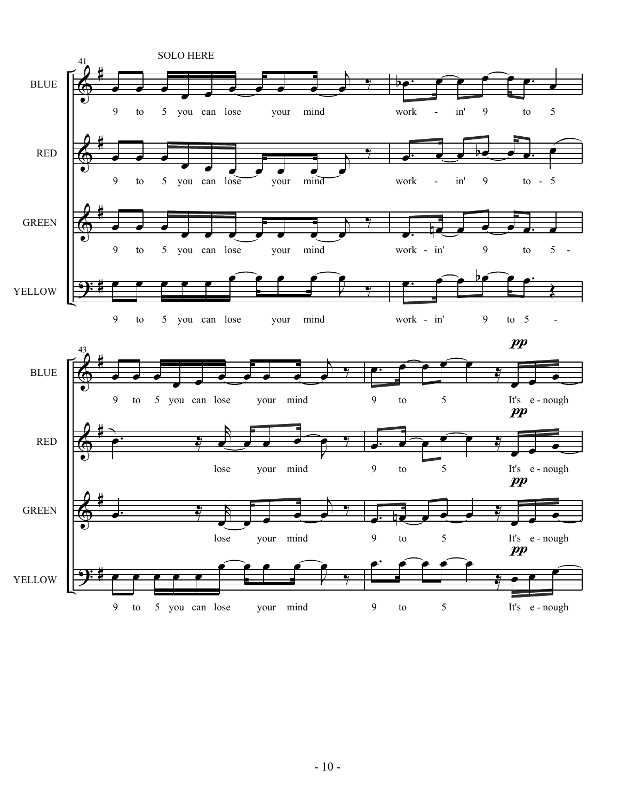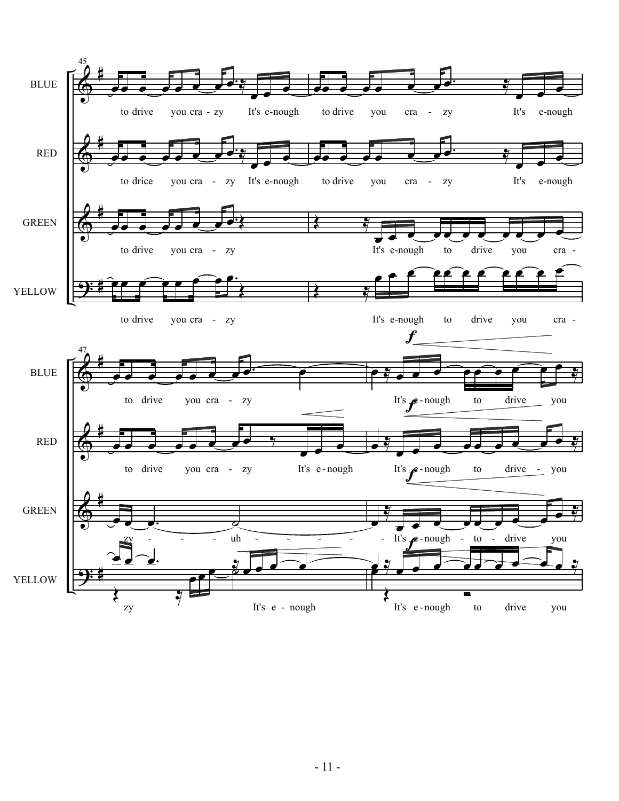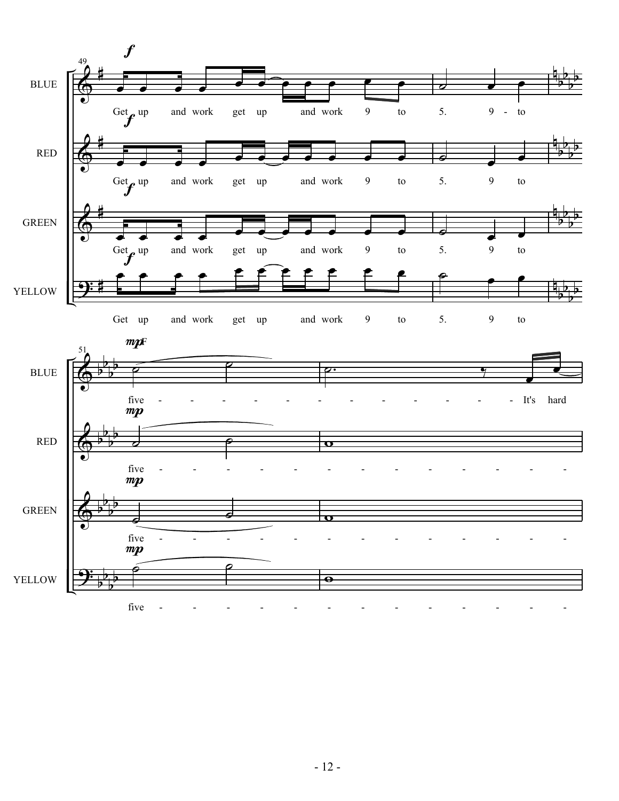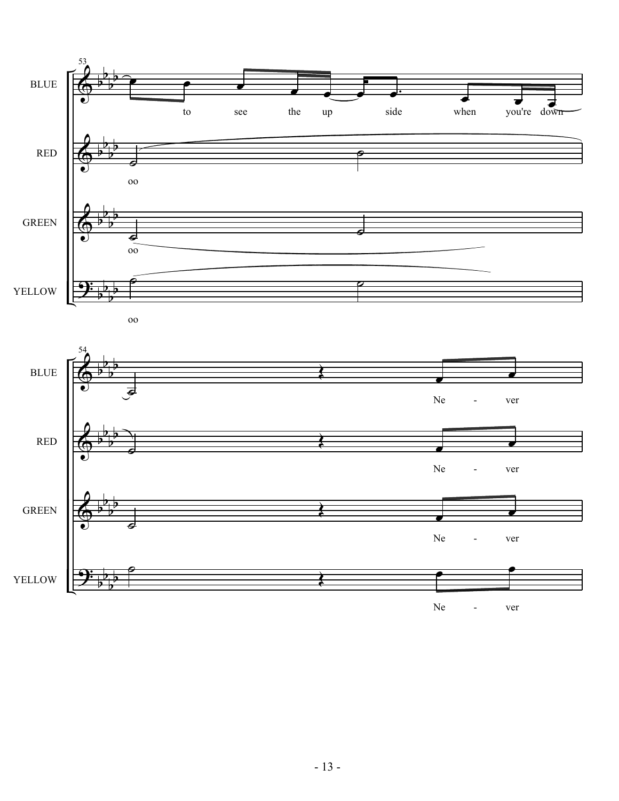

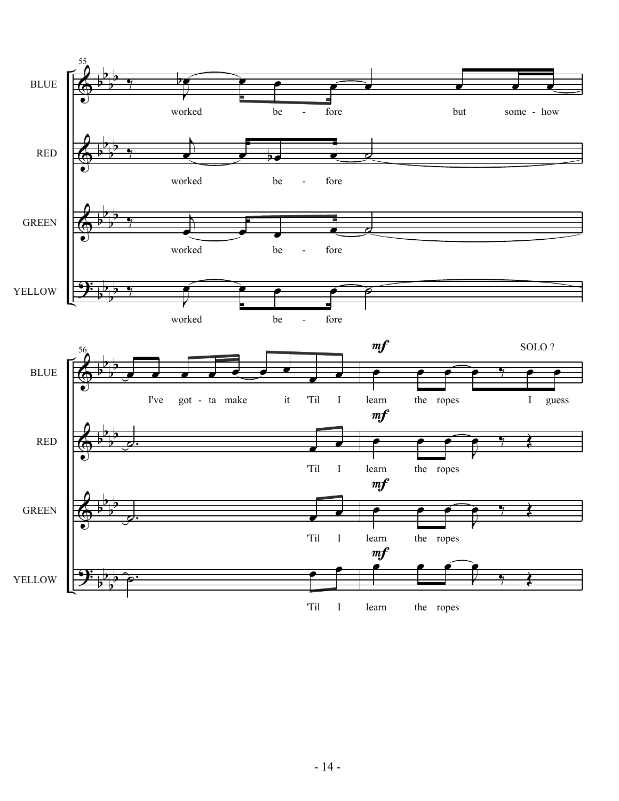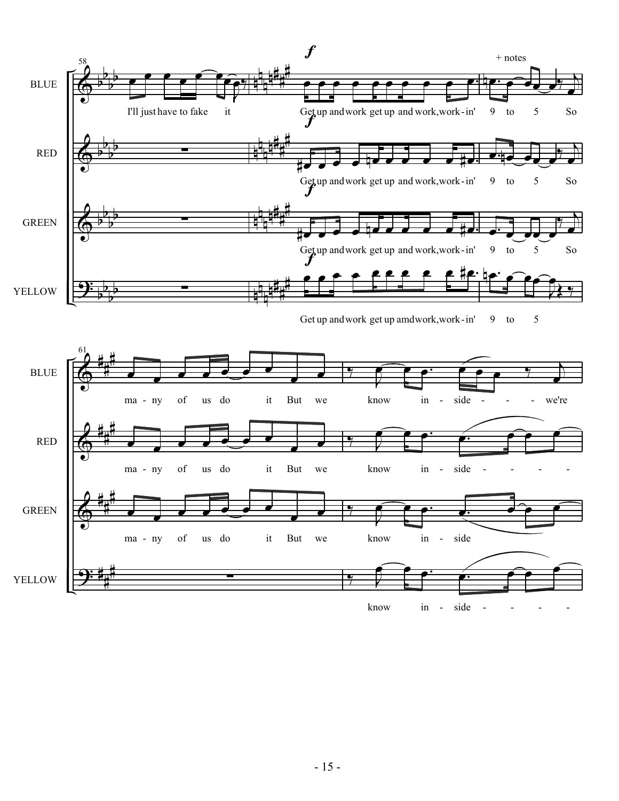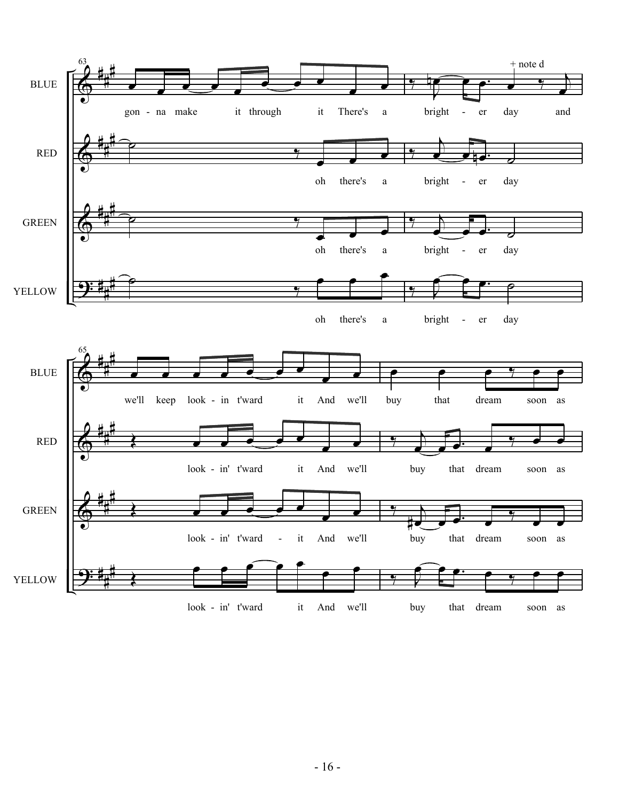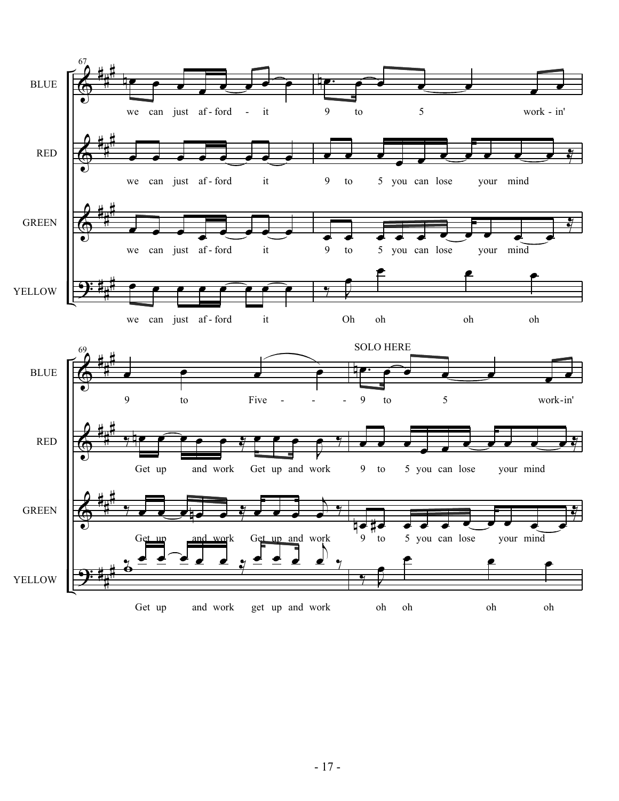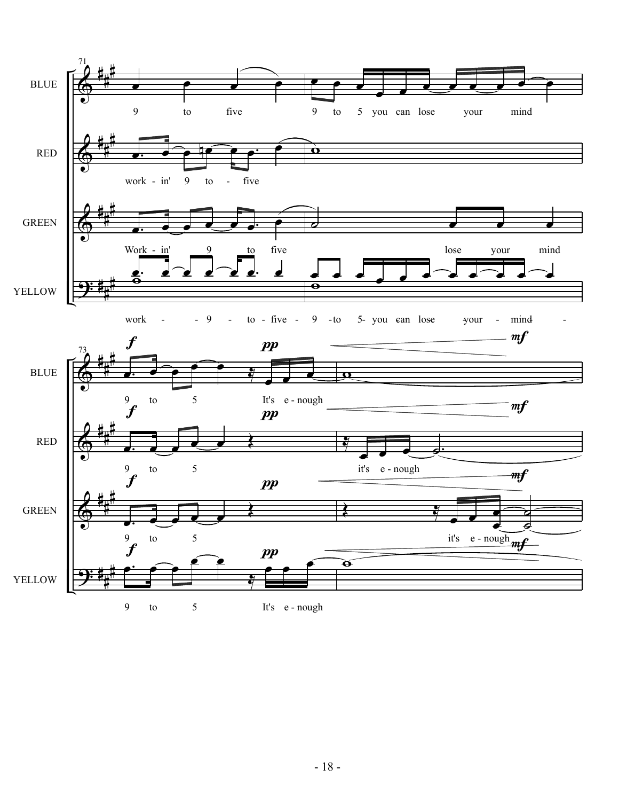

9 to 5 It's e - nough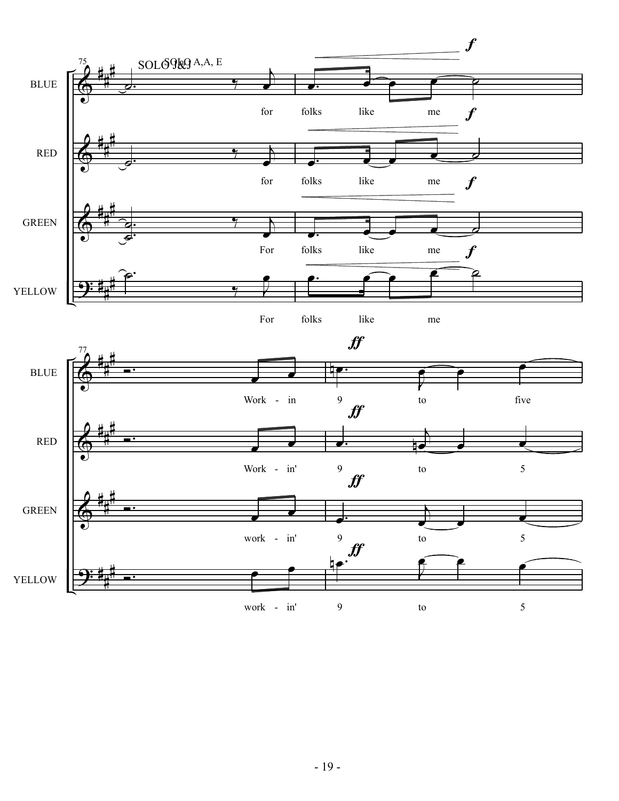